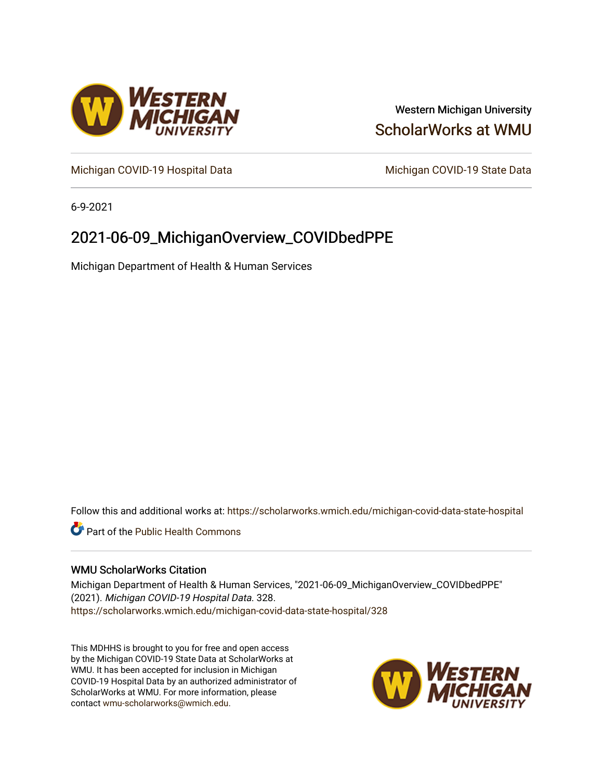

### Western Michigan University [ScholarWorks at WMU](https://scholarworks.wmich.edu/)

[Michigan COVID-19 Hospital Data](https://scholarworks.wmich.edu/michigan-covid-data-state-hospital) Michigan COVID-19 State Data

6-9-2021

## 2021-06-09\_MichiganOverview\_COVIDbedPPE

Michigan Department of Health & Human Services

Follow this and additional works at: [https://scholarworks.wmich.edu/michigan-covid-data-state-hospital](https://scholarworks.wmich.edu/michigan-covid-data-state-hospital?utm_source=scholarworks.wmich.edu%2Fmichigan-covid-data-state-hospital%2F328&utm_medium=PDF&utm_campaign=PDFCoverPages) 

**Part of the Public Health Commons** 

#### WMU ScholarWorks Citation

Michigan Department of Health & Human Services, "2021-06-09\_MichiganOverview\_COVIDbedPPE" (2021). Michigan COVID-19 Hospital Data. 328. [https://scholarworks.wmich.edu/michigan-covid-data-state-hospital/328](https://scholarworks.wmich.edu/michigan-covid-data-state-hospital/328?utm_source=scholarworks.wmich.edu%2Fmichigan-covid-data-state-hospital%2F328&utm_medium=PDF&utm_campaign=PDFCoverPages) 

This MDHHS is brought to you for free and open access by the Michigan COVID-19 State Data at ScholarWorks at WMU. It has been accepted for inclusion in Michigan COVID-19 Hospital Data by an authorized administrator of ScholarWorks at WMU. For more information, please contact [wmu-scholarworks@wmich.edu](mailto:wmu-scholarworks@wmich.edu).

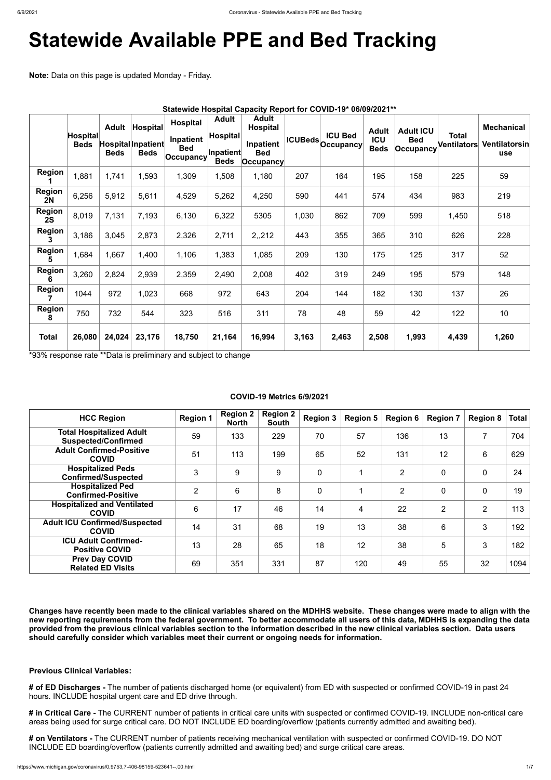# **Statewide Available PPE and Bed Tracking**

**Note:** Data on this page is updated Monday - Friday.

|                            | <b>Hospital</b><br><b>Beds</b> | <b>Adult</b><br><b>Beds</b> | <b>Hospital</b><br>Hospital Inpatient<br><b>Beds</b> | <b>Hospital</b><br>Inpatient<br><b>Bed</b><br>∣Occupancy∣ | <b>Adult</b><br>$ $ Hospital $ $<br>Inpatient<br><b>Beds</b> | <b>Adult</b><br><b>Hospital</b><br>Inpatient<br><b>Bed</b><br>$ $ Occupancy |       | Statewide Hospital Capacity Report for COVID-19* 06/09/2021**<br><b>ICU Bed</b><br><b>ICUBeds</b> Occupancy | <b>Adult</b><br>ICU<br><b>Beds</b> | <b>Adult ICU</b><br><b>Bed</b><br>Occupancy | <b>Total</b><br>Ventilators | <b>Mechanical</b><br>Ventilatorsin<br><b>use</b> |
|----------------------------|--------------------------------|-----------------------------|------------------------------------------------------|-----------------------------------------------------------|--------------------------------------------------------------|-----------------------------------------------------------------------------|-------|-------------------------------------------------------------------------------------------------------------|------------------------------------|---------------------------------------------|-----------------------------|--------------------------------------------------|
| <b>Region</b>              | 1,881                          | 1,741                       | 1,593                                                | 1,309                                                     | 1,508                                                        | 1,180                                                                       | 207   | 164                                                                                                         | 195                                | 158                                         | 225                         | 59                                               |
| <b>Region</b><br><b>2N</b> | 6,256                          | 5,912                       | 5,611                                                | 4,529                                                     | 5,262                                                        | 4,250                                                                       | 590   | 441                                                                                                         | 574                                | 434                                         | 983                         | 219                                              |
| <b>Region</b><br>2S        | 8,019                          | 7,131                       | 7,193                                                | 6,130                                                     | 6,322                                                        | 5305                                                                        | 1,030 | 862                                                                                                         | 709                                | 599                                         | 1,450                       | 518                                              |
| <b>Region</b><br>3         | 3,186                          | 3,045                       | 2,873                                                | 2,326                                                     | 2,711                                                        | 2,,212                                                                      | 443   | 355                                                                                                         | 365                                | 310                                         | 626                         | 228                                              |
| <b>Region</b><br>5         | 1,684                          | 1,667                       | 1,400                                                | 1,106                                                     | 1,383                                                        | 1,085                                                                       | 209   | 130                                                                                                         | 175                                | 125                                         | 317                         | 52                                               |
| <b>Region</b><br>6         | 3,260                          | 2,824                       | 2,939                                                | 2,359                                                     | 2,490                                                        | 2,008                                                                       | 402   | 319                                                                                                         | 249                                | 195                                         | 579                         | 148                                              |
| Region                     | 1044                           | 972                         | 1,023                                                | 668                                                       | 972                                                          | 643                                                                         | 204   | 144                                                                                                         | 182                                | 130                                         | 137                         | 26                                               |
| <b>Region</b><br>8         | 750                            | 732                         | 544                                                  | 323                                                       | 516                                                          | 311                                                                         | 78    | 48                                                                                                          | 59                                 | 42                                          | 122                         | 10                                               |
| <b>Total</b>               | 26,080                         | 24,024                      | 23,176                                               | 18,750                                                    | 21,164                                                       | 16,994                                                                      | 3,163 | 2,463                                                                                                       | 2,508                              | 1,993                                       | 4,439                       | 1,260                                            |

\*93% response rate \*\*Data is preliminary and subject to change

#### **COVID-19 Metrics 6/9/2021**

| <b>HCC Region</b>                                             | <b>Region 1</b> | <b>Region 2</b><br><b>North</b> | <b>Region 2</b><br><b>South</b> | <b>Region 3</b> | <b>Region 5</b> | <b>Region 6</b> | <b>Region 7</b> | <b>Region 8</b>          | <b>Total</b> |
|---------------------------------------------------------------|-----------------|---------------------------------|---------------------------------|-----------------|-----------------|-----------------|-----------------|--------------------------|--------------|
| <b>Total Hospitalized Adult</b><br><b>Suspected/Confirmed</b> | 59              | 133                             | 229                             | 70              | 57              | 136             | 13              | $\overline{\phantom{a}}$ | 704          |
| <b>Adult Confirmed-Positive</b><br><b>COVID</b>               | 51              | 113                             | 199                             | 65              | 52              | 131             | 12              | 6                        | 629          |
| <b>Hospitalized Peds</b><br><b>Confirmed/Suspected</b>        | 3               | 9                               | 9                               | $\mathbf 0$     |                 | $\overline{2}$  | $\mathbf 0$     | $\mathbf 0$              | 24           |
| <b>Hospitalized Ped</b><br><b>Confirmed-Positive</b>          | $\overline{2}$  | 6                               | 8                               | $\overline{0}$  |                 | $\overline{2}$  | $\overline{0}$  | $\mathbf 0$              | 19           |
| <b>Hospitalized and Ventilated</b><br><b>COVID</b>            | 6               | 17                              | 46                              | 14              | $\overline{4}$  | 22              | $\overline{2}$  | $\overline{2}$           | 113          |
| <b>Adult ICU Confirmed/Suspected</b><br><b>COVID</b>          | 14              | 31                              | 68                              | 19              | 13              | 38              | 6               | 3                        | 192          |
| <b>ICU Adult Confirmed-</b><br><b>Positive COVID</b>          | 13              | 28                              | 65                              | 18              | 12              | 38              | 5               | 3                        | 182          |
| <b>Prev Day COVID</b><br><b>Related ED Visits</b>             | 69              | 351                             | 331                             | 87              | 120             | 49              | 55              | 32                       | 1094         |

**Changes have recently been made to the clinical variables shared on the MDHHS website. These changes were made to align with the new reporting requirements from the federal government. To better accommodate all users of this data, MDHHS is expanding the data provided from the previous clinical variables section to the information described in the new clinical variables section. Data users should carefully consider which variables meet their current or ongoing needs for information.**

**Previous Clinical Variables:**

**# of ED Discharges -** The number of patients discharged home (or equivalent) from ED with suspected or confirmed COVID-19 in past 24 hours. INCLUDE hospital urgent care and ED drive through.

**# in Critical Care -** The CURRENT number of patients in critical care units with suspected or confirmed COVID-19. INCLUDE non-critical care areas being used for surge critical care. DO NOT INCLUDE ED boarding/overflow (patients currently admitted and awaiting bed).

**# on Ventilators -** The CURRENT number of patients receiving mechanical ventilation with suspected or confirmed COVID-19. DO NOT INCLUDE ED boarding/overflow (patients currently admitted and awaiting bed) and surge critical care areas.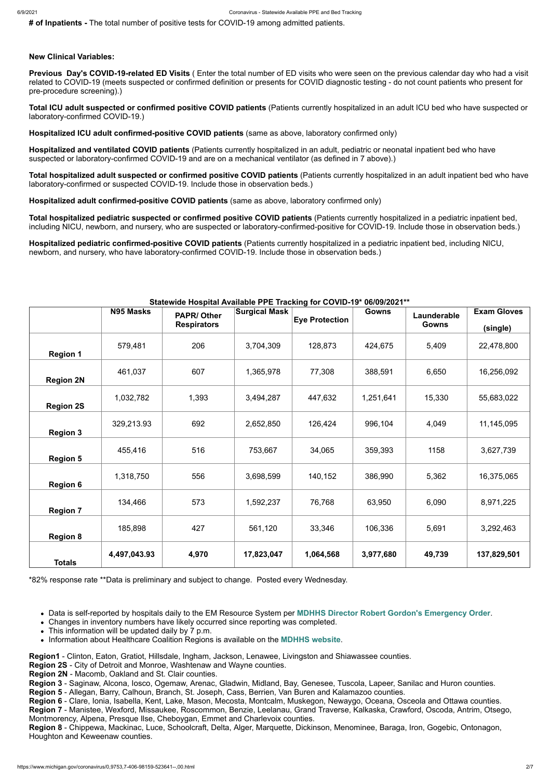**# of Inpatients -** The total number of positive tests for COVID-19 among admitted patients.

#### **New Clinical Variables:**

**Previous Day's COVID-19-related ED Visits** ( Enter the total number of ED visits who were seen on the previous calendar day who had a visit related to COVID-19 (meets suspected or confirmed definition or presents for COVID diagnostic testing - do not count patients who present for pre-procedure screening).)

**Total ICU adult suspected or confirmed positive COVID patients** (Patients currently hospitalized in an adult ICU bed who have suspected or laboratory-confirmed COVID-19.)

**Hospitalized ICU adult confirmed-positive COVID patients** (same as above, laboratory confirmed only)

**Hospitalized and ventilated COVID patients** (Patients currently hospitalized in an adult, pediatric or neonatal inpatient bed who have suspected or laboratory-confirmed COVID-19 and are on a mechanical ventilator (as defined in 7 above).)

**Total hospitalized adult suspected or confirmed positive COVID patients** (Patients currently hospitalized in an adult inpatient bed who have laboratory-confirmed or suspected COVID-19. Include those in observation beds.)

**Hospitalized adult confirmed-positive COVID patients** (same as above, laboratory confirmed only)

**Total hospitalized pediatric suspected or confirmed positive COVID patients** (Patients currently hospitalized in a pediatric inpatient bed, including NICU, newborn, and nursery, who are suspected or laboratory-confirmed-positive for COVID-19. Include those in observation beds.)

**Hospitalized pediatric confirmed-positive COVID patients** (Patients currently hospitalized in a pediatric inpatient bed, including NICU, newborn, and nursery, who have laboratory-confirmed COVID-19. Include those in observation beds.)

#### **Statewide Hospital Available PPE Tracking for COVID-19\* 06/09/2021\*\***

|                  | <b>N95 Masks</b> | <b>PAPR/Other</b>  | <b>Surgical Mask</b> |                       | <b>Gowns</b> | Launderable  | <b>Exam Gloves</b> |
|------------------|------------------|--------------------|----------------------|-----------------------|--------------|--------------|--------------------|
|                  |                  | <b>Respirators</b> |                      | <b>Eye Protection</b> |              | <b>Gowns</b> | (single)           |
| <b>Region 1</b>  | 579,481          | 206                | 3,704,309            | 128,873               | 424,675      | 5,409        | 22,478,800         |
| <b>Region 2N</b> | 461,037          | 607                | 1,365,978            | 77,308                | 388,591      | 6,650        | 16,256,092         |
| <b>Region 2S</b> | 1,032,782        | 1,393              | 3,494,287            | 447,632               | 1,251,641    | 15,330       | 55,683,022         |
| <b>Region 3</b>  | 329,213.93       | 692                | 2,652,850            | 126,424               | 996,104      | 4,049        | 11,145,095         |
| <b>Region 5</b>  | 455,416          | 516                | 753,667              | 34,065                | 359,393      | 1158         | 3,627,739          |
| <b>Region 6</b>  | 1,318,750        | 556                | 3,698,599            | 140,152               | 386,990      | 5,362        | 16,375,065         |
| <b>Region 7</b>  | 134,466          | 573                | 1,592,237            | 76,768                | 63,950       | 6,090        | 8,971,225          |
| <b>Region 8</b>  | 185,898          | 427                | 561,120              | 33,346                | 106,336      | 5,691        | 3,292,463          |
| <b>Totals</b>    | 4,497,043.93     | 4,970              | 17,823,047           | 1,064,568             | 3,977,680    | 49,739       | 137,829,501        |

\*82% response rate \*\*Data is preliminary and subject to change. Posted every Wednesday.

- Data is self-reported by hospitals daily to the EM Resource System per **[MDHHS Director Robert Gordon's Emergency Order](https://www.michigan.gov/documents/coronavirus/MDHHS_epidemic_reporting_order_and_instructions_684709_7.pdf)**.
- Changes in inventory numbers have likely occurred since reporting was completed.
- This information will be updated daily by 7 p.m.
- Information about Healthcare Coalition Regions is available on the **[MDHHS website](https://www.michigan.gov/mdhhs/0,5885,7-339-71548_54783_54826_56171-237197--,00.html#hcc)**.

**Region1** - Clinton, Eaton, Gratiot, Hillsdale, Ingham, Jackson, Lenawee, Livingston and Shiawassee counties. **Region 2S** - City of Detroit and Monroe, Washtenaw and Wayne counties.

**Region 2N** - Macomb, Oakland and St. Clair counties.

**Region 3** - Saginaw, Alcona, Iosco, Ogemaw, Arenac, Gladwin, Midland, Bay, Genesee, Tuscola, Lapeer, Sanilac and Huron counties. **Region 5** - Allegan, Barry, Calhoun, Branch, St. Joseph, Cass, Berrien, Van Buren and Kalamazoo counties.

**Region 6** - Clare, Ionia, Isabella, Kent, Lake, Mason, Mecosta, Montcalm, Muskegon, Newaygo, Oceana, Osceola and Ottawa counties. **Region 7** - Manistee, Wexford, Missaukee, Roscommon, Benzie, Leelanau, Grand Traverse, Kalkaska, Crawford, Oscoda, Antrim, Otsego, Montmorency, Alpena, Presque Ilse, Cheboygan, Emmet and Charlevoix counties.

**Region 8** - Chippewa, Mackinac, Luce, Schoolcraft, Delta, Alger, Marquette, Dickinson, Menominee, Baraga, Iron, Gogebic, Ontonagon, Houghton and Keweenaw counties.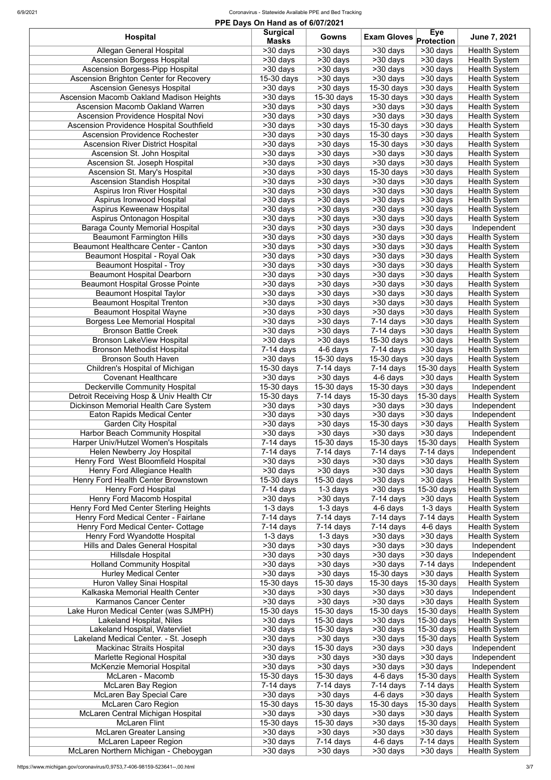| PPE Days On Hand as of 6/07/2021                |                          |                          |                               |                       |                      |  |
|-------------------------------------------------|--------------------------|--------------------------|-------------------------------|-----------------------|----------------------|--|
| <b>Hospital</b>                                 | <b>Surgical</b>          | <b>Gowns</b>             |                               | <b>Eye</b>            | June 7, 2021         |  |
|                                                 | <b>Masks</b>             |                          | <b>Exam Gloves</b> Protection |                       |                      |  |
| <b>Allegan General Hospital</b>                 | >30 days                 | $>30$ days               | >30 days                      | $>30$ days            | <b>Health System</b> |  |
| <b>Ascension Borgess Hospital</b>               | >30 days                 | >30 days                 | >30 days                      | >30 days              | <b>Health System</b> |  |
| <b>Ascension Borgess-Pipp Hospital</b>          | >30 days                 | >30 days                 | >30 days                      | >30 days              | <b>Health System</b> |  |
| <b>Ascension Brighton Center for Recovery</b>   | 15-30 days               | >30 days                 | >30 days                      | >30 days              | <b>Health System</b> |  |
| <b>Ascension Genesys Hospital</b>               | >30 days                 | >30 days                 | 15-30 days                    | $>30$ days            | <b>Health System</b> |  |
| Ascension Macomb Oakland Madison Heights        | >30 days                 | 15-30 days               | 15-30 days                    | $>30$ days            | <b>Health System</b> |  |
| <b>Ascension Macomb Oakland Warren</b>          | >30 days                 | >30 days                 | >30 days                      | >30 days              | <b>Health System</b> |  |
| <b>Ascension Providence Hospital Novi</b>       | >30 days                 | >30 days                 | >30 days                      | >30 days              | <b>Health System</b> |  |
| <b>Ascension Providence Hospital Southfield</b> | >30 days                 | >30 days                 | 15-30 days                    | >30 days              | <b>Health System</b> |  |
| <b>Ascension Providence Rochester</b>           | >30 days                 | >30 days                 | 15-30 days                    | $>30$ days            | <b>Health System</b> |  |
| <b>Ascension River District Hospital</b>        | >30 days                 | >30 days                 | 15-30 days                    | $>30$ days            | <b>Health System</b> |  |
|                                                 |                          |                          |                               |                       |                      |  |
| Ascension St. John Hospital                     | >30 days                 | >30 days                 | >30 days                      | >30 days              | <b>Health System</b> |  |
| Ascension St. Joseph Hospital                   | >30 days                 | >30 days                 | >30 days                      | >30 days              | <b>Health System</b> |  |
| Ascension St. Mary's Hospital                   | >30 days                 | >30 days                 | 15-30 days                    | >30 days              | <b>Health System</b> |  |
| <b>Ascension Standish Hospital</b>              | >30 days                 | >30 days                 | >30 days                      | >30 days              | <b>Health System</b> |  |
| <b>Aspirus Iron River Hospital</b>              | >30 days                 | >30 days                 | >30 days                      | $>30$ days            | <b>Health System</b> |  |
| Aspirus Ironwood Hospital                       | >30 days                 | >30 days                 | >30 days                      | >30 days              | <b>Health System</b> |  |
| Aspirus Keweenaw Hospital                       | >30 days                 | >30 days                 | >30 days                      | $>30$ days            | <b>Health System</b> |  |
| Aspirus Ontonagon Hospital                      | $>30$ days               | $>30$ days               | $>30$ days                    | $>30$ days            | <b>Health System</b> |  |
| <b>Baraga County Memorial Hospital</b>          | >30 days                 | $\overline{>}30$ days    | >30 days                      | $>30$ days            | Independent          |  |
| <b>Beaumont Farmington Hills</b>                | $>30$ days               | $>30$ days               | >30 days                      | $\overline{>30}$ days | <b>Health System</b> |  |
| Beaumont Healthcare Center - Canton             | >30 days                 | $>30$ days               | >30 days                      | >30 days              | <b>Health System</b> |  |
| Beaumont Hospital - Royal Oak                   | $>30$ days               | $>30$ days               | $>30$ days                    | $>30$ days            | <b>Health System</b> |  |
| <b>Beaumont Hospital - Troy</b>                 | $>30$ days               | $>30$ days               | $>30$ days                    | $\overline{>30}$ days | <b>Health System</b> |  |
| <b>Beaumont Hospital Dearborn</b>               | >30 days                 | >30 days                 | $>30$ days                    | $>30$ days            | <b>Health System</b> |  |
| <b>Beaumont Hospital Grosse Pointe</b>          | >30 days                 | >30 days                 | >30 days                      | $>30$ days            | <b>Health System</b> |  |
| <b>Beaumont Hospital Taylor</b>                 | $>30$ days               | $>30$ days               | $>30$ days                    | $>30$ days            | <b>Health System</b> |  |
| <b>Beaumont Hospital Trenton</b>                | $>30$ days               | $>30$ days               | >30 days                      | $>30$ days            | <b>Health System</b> |  |
| <b>Beaumont Hospital Wayne</b>                  | $\overline{>30}$ days    | $\overline{>30}$ days    | $\overline{>30}$ days         | $530$ days            | <b>Health System</b> |  |
| <b>Borgess Lee Memorial Hospital</b>            | $>30$ days               | >30 days                 | $7-14$ days                   | >30 days              | Health System        |  |
| <b>Bronson Battle Creek</b>                     | $>30$ days               | $>30$ days               | $7-14$ days                   | $>30$ days            | <b>Health System</b> |  |
| Bronson LakeView Hospital                       | $>30$ days               | $>30$ days               | 15-30 days                    | $>30$ days            | <b>Health System</b> |  |
|                                                 |                          |                          |                               |                       |                      |  |
| <b>Bronson Methodist Hospital</b>               | 7-14 days                | 4-6 days                 | $7-14$ days                   | >30 days              | <b>Health System</b> |  |
| <b>Bronson South Haven</b>                      | >30 days                 | 15-30 days               | 15-30 days                    | >30 days              | <b>Health System</b> |  |
| Children's Hospital of Michigan                 | 15-30 days               | $7-14$ days              | $7-14$ days                   | 15-30 days            | <b>Health System</b> |  |
| <b>Covenant Healthcare</b>                      | >30 days                 | >30 days                 | 4-6 days                      | >30 days              | <b>Health System</b> |  |
| <b>Deckerville Community Hospital</b>           | $15-30$ days             | 15-30 days               | 15-30 days                    | >30 days              | Independent          |  |
| Detroit Receiving Hosp & Univ Health Ctr        | 15-30 days               | $7-14$ days              | 15-30 days                    | 15-30 days            | <b>Health System</b> |  |
| Dickinson Memorial Health Care System           | >30 days                 | >30 days                 | >30 days                      | >30 days              | Independent          |  |
| <b>Eaton Rapids Medical Center</b>              | >30 days                 | >30 days                 | >30 days                      | >30 days              | Independent          |  |
| <b>Garden City Hospital</b>                     | >30 days                 | >30 days                 | 15-30 days                    | >30 days              | <b>Health System</b> |  |
| <b>Harbor Beach Community Hospital</b>          | >30 days                 | $>30$ days               | >30 days                      | >30 days              | Independent          |  |
| Harper Univ/Hutzel Women's Hospitals            | 7-14 days                | $15-30$ days             | 15-30 days                    | $15-30$ days          | <b>Health System</b> |  |
| Helen Newberry Joy Hospital                     | 7-14 days                | $7-14$ days              | $7-14$ days                   | $7-14$ days           | Independent          |  |
| Henry Ford West Bloomfield Hospital             | >30 days                 | >30 days                 | >30 days                      | >30 days              | <b>Health System</b> |  |
| Henry Ford Allegiance Health                    | >30 days                 | >30 days                 | >30 days                      | >30 days              | <b>Health System</b> |  |
| Henry Ford Health Center Brownstown             | 15-30 days               | 15-30 days               | >30 days                      | $>30$ days            | <b>Health System</b> |  |
| <b>Henry Ford Hospital</b>                      | $7-14$ days              | 1-3 days                 | >30 days                      | 15-30 days            | <b>Health System</b> |  |
| Henry Ford Macomb Hospital                      | >30 days                 | >30 days                 | $7-14$ days                   | >30 days              | <b>Health System</b> |  |
| Henry Ford Med Center Sterling Heights          | 1-3 days                 | $\overline{1}$ -3 days   | 4-6 days                      | $\overline{1-3}$ days | Health System        |  |
| Henry Ford Medical Center - Fairlane            | 7-14 days                | $7-14$ days              | $7-14$ days                   | $7-14$ days           | <b>Health System</b> |  |
| Henry Ford Medical Center- Cottage              | $\overline{7-14}$ days   | $7-14$ days              | $7-14$ days                   | 4-6 days              | <b>Health System</b> |  |
| Henry Ford Wyandotte Hospital                   | $\overline{1}$ -3 days   | $\overline{1}$ -3 days   | >30 days                      | $>30$ days            | <b>Health System</b> |  |
| <b>Hills and Dales General Hospital</b>         | >30 days                 | >30 days                 | >30 days                      | >30 days              | Independent          |  |
| Hillsdale Hospital                              | >30 days                 | >30 days                 | >30 days                      | $>30$ days            | Independent          |  |
| <b>Holland Community Hospital</b>               | >30 days                 | >30 days                 | >30 days                      | $7-14$ days           | Independent          |  |
| <b>Hurley Medical Center</b>                    | >30 days                 | >30 days                 | 15-30 days                    | $>30$ days            | <b>Health System</b> |  |
| <b>Huron Valley Sinai Hospital</b>              | $\overline{15}$ -30 days | $\overline{15}$ -30 days | 15-30 days                    | $15-30$ days          | Health System        |  |
| Kalkaska Memorial Health Center                 |                          |                          |                               | $>30$ days            |                      |  |
|                                                 | >30 days                 | >30 days                 | >30 days                      |                       | Independent          |  |
| Karmanos Cancer Center                          | >30 days                 | >30 days                 | >30 days                      | $>30$ days            | <b>Health System</b> |  |
| Lake Huron Medical Center (was SJMPH)           | 15-30 days               | $15-30$ days             | 15-30 days                    | 15-30 days            | <b>Health System</b> |  |
| Lakeland Hospital, Niles                        | >30 days                 | 15-30 days               | >30 days                      | 15-30 days            | <b>Health System</b> |  |
| Lakeland Hospital, Watervliet                   | >30 days                 | 15-30 days               | >30 days                      | 15-30 days            | <b>Health System</b> |  |
| Lakeland Medical Center. - St. Joseph           | >30 days                 | >30 days                 | >30 days                      | 15-30 days            | <b>Health System</b> |  |
| <b>Mackinac Straits Hospital</b>                | >30 days                 | 15-30 days               | >30 days                      | >30 days              | Independent          |  |
| Marlette Regional Hospital                      | >30 days                 | >30 days                 | >30 days                      | >30 days              | Independent          |  |
| McKenzie Memorial Hospital                      | >30 days                 | >30 days                 | >30 days                      | >30 days              | Independent          |  |
| McLaren - Macomb                                | 15-30 days               | 15-30 days               | 4-6 days                      | 15-30 days            | <b>Health System</b> |  |
| McLaren Bay Region                              | $7-14$ days              | $7-14$ days              | $7-14$ days                   | $7-14$ days           | <b>Health System</b> |  |
| <b>McLaren Bay Special Care</b>                 | >30 days                 | >30 days                 | 4-6 days                      | >30 days              | <b>Health System</b> |  |
| <b>McLaren Caro Region</b>                      | 15-30 days               | 15-30 days               | 15-30 days                    | 15-30 days            | <b>Health System</b> |  |
| McLaren Central Michigan Hospital               | >30 days                 | >30 days                 | >30 days                      | >30 days              | <b>Health System</b> |  |
| <b>McLaren Flint</b>                            | 15-30 days               | 15-30 days               | >30 days                      | 15-30 days            | <b>Health System</b> |  |
| <b>McLaren Greater Lansing</b>                  | >30 days                 | >30 days                 | >30 days                      | >30 days              | <b>Health System</b> |  |
| <b>McLaren Lapeer Region</b>                    | >30 days                 | $7-14$ days              | 4-6 days                      | $7-14$ days           | <b>Health System</b> |  |
| McLaren Northern Michigan - Cheboygan           | >30 days                 | >30 days                 | >30 days                      | >30 days              | <b>Health System</b> |  |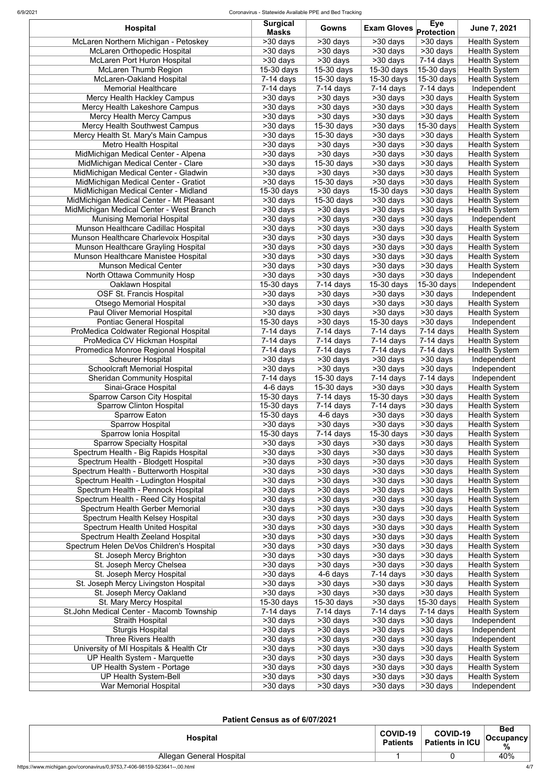| <b>Hospital</b>                                                               | <b>Surgical</b><br><b>Masks</b> | <b>Gowns</b>                        | <b>Exam Gloves</b>         | <b>Eye</b><br><b>Protection</b>    | June 7, 2021                                 |
|-------------------------------------------------------------------------------|---------------------------------|-------------------------------------|----------------------------|------------------------------------|----------------------------------------------|
| McLaren Northern Michigan - Petoskey                                          | $\overline{>30}$ days           | $>30$ days                          | >30 days                   | >30 days                           | <b>Health System</b>                         |
| <b>McLaren Orthopedic Hospital</b>                                            | >30 days                        | >30 days                            | >30 days                   | $>30$ days                         | <b>Health System</b>                         |
| <b>McLaren Port Huron Hospital</b>                                            | >30 days                        | >30 days                            | >30 days                   | $7-14$ days                        | <b>Health System</b>                         |
| <b>McLaren Thumb Region</b>                                                   | $15-30$ days                    | 15-30 days                          | 15-30 days                 | $\overline{15}$ -30 days           | <b>Health System</b>                         |
| McLaren-Oakland Hospital                                                      | $7-14$ days                     | 15-30 days                          | 15-30 days                 | 15-30 days                         | <b>Health System</b>                         |
| <b>Memorial Healthcare</b>                                                    | $7-14$ days                     | 7-14 days                           | $7-14$ days                | $7-14$ days                        | Independent                                  |
| Mercy Health Hackley Campus                                                   | >30 days                        | >30 days                            | >30 days                   | $>30$ days                         | <b>Health System</b>                         |
| Mercy Health Lakeshore Campus                                                 | >30 days                        | >30 days                            | >30 days<br>>30 days       | >30 days<br>$>30$ days             | <b>Health System</b>                         |
| Mercy Health Mercy Campus<br>Mercy Health Southwest Campus                    | >30 days<br>>30 days            | >30 days<br>15-30 days              | >30 days                   | 15-30 days                         | <b>Health System</b><br><b>Health System</b> |
| Mercy Health St. Mary's Main Campus                                           | >30 days                        | 15-30 days                          | >30 days                   | >30 days                           | <b>Health System</b>                         |
| <b>Metro Health Hospital</b>                                                  | >30 days                        | >30 days                            | >30 days                   | >30 days                           | <b>Health System</b>                         |
| MidMichigan Medical Center - Alpena                                           | >30 days                        | >30 days                            | >30 days                   | >30 days                           | <b>Health System</b>                         |
| MidMichigan Medical Center - Clare                                            | >30 days                        | 15-30 days                          | >30 days                   | >30 days                           | <b>Health System</b>                         |
| MidMichigan Medical Center - Gladwin                                          | >30 days                        | >30 days                            | >30 days                   | >30 days                           | <b>Health System</b>                         |
| MidMichigan Medical Center - Gratiot                                          | >30 days                        | 15-30 days                          | >30 days                   | >30 days                           | <b>Health System</b>                         |
| MidMichigan Medical Center - Midland                                          | 15-30 days                      | >30 days                            | 15-30 days                 | $>30$ days                         | <b>Health System</b>                         |
| MidMichigan Medical Center - Mt Pleasant                                      | >30 days                        | 15-30 days                          | >30 days                   | $>30$ days                         | <b>Health System</b>                         |
| MidMichigan Medical Center - West Branch                                      | >30 days                        | >30 days                            | >30 days                   | >30 days                           | <b>Health System</b>                         |
| <b>Munising Memorial Hospital</b><br>Munson Healthcare Cadillac Hospital      | $>30$ days<br>>30 days          | $\overline{>30}$ days<br>$>30$ days | $>30$ days<br>>30 days     | >30 days                           | Independent                                  |
| Munson Healthcare Charlevoix Hospital                                         | $\overline{>}30$ days           | $>30$ days                          | >30 days                   | >30 days<br>>30 days               | <b>Health System</b><br>Health System        |
| Munson Healthcare Grayling Hospital                                           | $>30$ days                      | $>30$ days                          | >30 days                   | $>30$ days                         | <b>Health System</b>                         |
| Munson Healthcare Manistee Hospital                                           | $>30$ days                      | $>30$ days                          | $>30$ days                 | $>30$ days                         | <b>Health System</b>                         |
| <b>Munson Medical Center</b>                                                  | $>30$ days                      | >30 days                            | $>30$ days                 | $\overline{>30}$ days              | Health System                                |
| North Ottawa Community Hosp                                                   | $>30$ days                      | $>30$ days                          | $>30$ days                 | $\overline{>30}$ days              | Independent                                  |
| Oaklawn Hospital                                                              | $\overline{15}$ -30 days        | $7-14$ days                         | 15-30 days                 | 15-30 days                         | Independent                                  |
| <b>OSF St. Francis Hospital</b>                                               | $>30$ days                      | $>30$ days                          | $>30$ days                 | $\overline{>30}$ days              | Independent                                  |
| <b>Otsego Memorial Hospital</b>                                               | $>30$ days                      | >30 days                            | $\overline{>}30$ days      | >30 days                           | <b>Health System</b>                         |
| Paul Oliver Memorial Hospital                                                 | >30 days                        | $>30$ days                          | $\overline{>}30$ days      | $\overline{>}30$ days              | <b>Health System</b>                         |
| <b>Pontiac General Hospital</b>                                               | $\overline{15}$ -30 days        | $>30$ days                          | 15-30 days                 | $\overline{>30}$ days              | Independent                                  |
| ProMedica Coldwater Regional Hospital                                         | $7-14$ days                     | $7-14$ days                         | $7-14$ days                | $7-14$ days                        | <b>Health System</b>                         |
| ProMedica CV Hickman Hospital                                                 | $\overline{7-14}$ days          | $7-14$ days                         | $7-14$ days<br>$7-14$ days | $\overline{7}$ -14 days            | <b>Health System</b>                         |
| Promedica Monroe Regional Hospital<br><b>Scheurer Hospital</b>                | $7-14$ days<br>>30 days         | $7-14$ days<br>>30 days             | >30 days                   | $7-14$ days<br>>30 days            | <b>Health System</b><br>Independent          |
| <b>Schoolcraft Memorial Hospital</b>                                          | >30 days                        | >30 days                            | >30 days                   | >30 days                           | Independent                                  |
| <b>Sheridan Community Hospital</b>                                            | $7-14$ days                     | 15-30 days                          | $7-14$ days                | $7-14$ days                        | Independent                                  |
| Sinai-Grace Hospital                                                          | 4-6 days                        | 15-30 days                          | >30 days                   | >30 days                           | <b>Health System</b>                         |
| <b>Sparrow Carson City Hospital</b>                                           | 15-30 days                      | 7-14 days                           | 15-30 days                 | >30 days                           | <b>Health System</b>                         |
| <b>Sparrow Clinton Hospital</b>                                               | 15-30 days                      | $7-14$ days                         | $7-14$ days                | >30 days                           | <b>Health System</b>                         |
| <b>Sparrow Eaton</b>                                                          | 15-30 days                      | 4-6 days                            | >30 days                   | >30 days                           | <b>Health System</b>                         |
| <b>Sparrow Hospital</b>                                                       | $>30$ days                      | >30 days                            | >30 days                   | >30 days                           | <b>Health System</b>                         |
| Sparrow Ionia Hospital                                                        | 15-30 days                      | $7-14$ days                         | 15-30 days                 | >30 days                           | <b>Health System</b>                         |
| <b>Sparrow Specialty Hospital</b>                                             | >30 days                        | >30 days                            | >30 days                   | >30 days                           | <b>Health System</b>                         |
| Spectrum Health - Big Rapids Hospital                                         | >30 days                        | >30 days                            | >30 days                   | >30 days                           | <b>Health System</b>                         |
| Spectrum Health - Blodgett Hospital<br>Spectrum Health - Butterworth Hospital | >30 days<br>>30 days            | >30 days<br>>30 days                | >30 days<br>>30 days       | >30 days<br>$>30$ days             | <b>Health System</b><br><b>Health System</b> |
| Spectrum Health - Ludington Hospital                                          | >30 days                        | >30 days                            | >30 days                   | >30 days                           | <b>Health System</b>                         |
| Spectrum Health - Pennock Hospital                                            | >30 days                        | >30 days                            | >30 days                   | >30 days                           | <b>Health System</b>                         |
| Spectrum Health - Reed City Hospital                                          | >30 days                        | >30 days                            | >30 days                   | >30 days                           | <b>Health System</b>                         |
| Spectrum Health Gerber Memorial                                               | >30 days                        | >30 days                            | >30 days                   | >30 days                           | <b>Health System</b>                         |
| Spectrum Health Kelsey Hospital                                               | >30 days                        | >30 days                            | >30 days                   | $>30$ days                         | <b>Health System</b>                         |
| Spectrum Health United Hospital                                               | >30 days                        | >30 days                            | >30 days                   | $>30$ days                         | <b>Health System</b>                         |
| Spectrum Health Zeeland Hospital                                              | >30 days                        | $>30$ days                          | >30 days                   | $\overline{\phantom{1}}$ > 30 days | <b>Health System</b>                         |
| Spectrum Helen DeVos Children's Hospital                                      | >30 days                        | $>30$ days                          | >30 days                   | $\overline{>30}$ days              | <b>Health System</b>                         |
| St. Joseph Mercy Brighton                                                     | >30 days                        | >30 days                            | >30 days                   | >30 days                           | <b>Health System</b>                         |
| St. Joseph Mercy Chelsea                                                      | >30 days                        | >30 days                            | >30 days                   | >30 days                           | <b>Health System</b>                         |
| St. Joseph Mercy Hospital                                                     | >30 days<br>>30 days            | 4-6 days                            | $7-14$ days<br>>30 days    | $>30$ days                         | <b>Health System</b>                         |
| St. Joseph Mercy Livingston Hospital<br>St. Joseph Mercy Oakland              | $>30$ days                      | >30 days<br>$\overline{>}30$ days   | >30 days                   | >30 days<br>>30 days               | <b>Health System</b><br>Health System        |
| St. Mary Mercy Hospital                                                       | 15-30 days                      | 15-30 days                          | >30 days                   | 15-30 days                         | <b>Health System</b>                         |
| St.John Medical Center - Macomb Township                                      | $7-14$ days                     | $7-14$ days                         | $7-14$ days                | $7-14$ days                        | <b>Health System</b>                         |
| <b>Straith Hospital</b>                                                       | $>30$ days                      | >30 days                            | >30 days                   | >30 days                           | Independent                                  |
| <b>Sturgis Hospital</b>                                                       | >30 days                        | >30 days                            | >30 days                   | >30 days                           | Independent                                  |
| <b>Three Rivers Health</b>                                                    | >30 days                        | >30 days                            | >30 days                   | >30 days                           | Independent                                  |
| University of MI Hospitals & Health Ctr                                       | >30 days                        | >30 days                            | >30 days                   | >30 days                           | <b>Health System</b>                         |
| UP Health System - Marquette                                                  | >30 days                        | >30 days                            | >30 days                   | >30 days                           | <b>Health System</b>                         |
| UP Health System - Portage                                                    | >30 days                        | >30 days                            | >30 days                   | >30 days                           | <b>Health System</b>                         |
| <b>UP Health System-Bell</b>                                                  | >30 days                        | >30 days                            | >30 days                   | >30 days                           | <b>Health System</b>                         |
| War Memorial Hospital                                                         | >30 days                        | >30 days                            | >30 days                   | $>30$ days                         | Independent                                  |

#### **Patient Census as of 6/07/2021**

| <b>Hospital</b>                 | COVID-19<br><b>Patients</b> | COVID-19<br>Patients in ICU | <b>Bed</b><br>$ $ Occupancy $ $<br>% |
|---------------------------------|-----------------------------|-----------------------------|--------------------------------------|
| <b>Allegan General Hospital</b> |                             |                             | 40%                                  |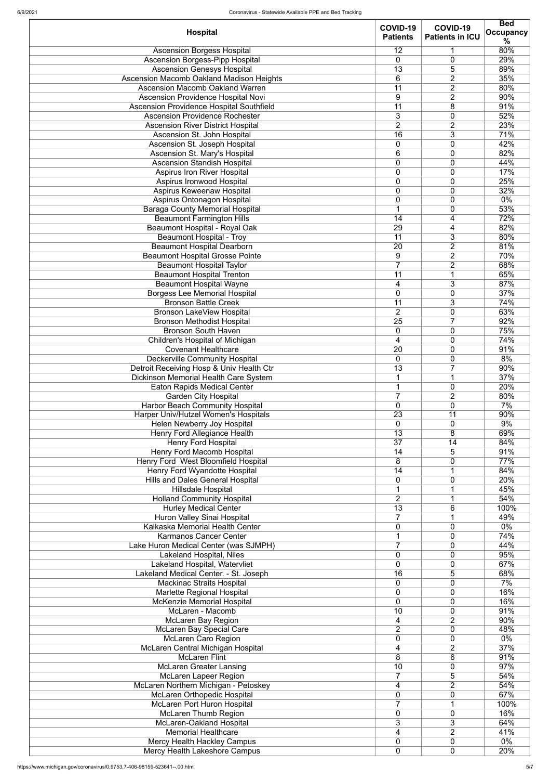| <b>Hospital</b>                                                                   | COVID-19<br><b>Patients</b>       | COVID-19<br><b>Patients in ICU</b> | <b>Bed</b><br><b>Occupancy</b> |
|-----------------------------------------------------------------------------------|-----------------------------------|------------------------------------|--------------------------------|
|                                                                                   |                                   |                                    | ℅                              |
| <b>Ascension Borgess Hospital</b><br><b>Ascension Borgess-Pipp Hospital</b>       | 12<br>$\mathbf{0}$                | 1<br>0                             | 80%<br>29%                     |
| <b>Ascension Genesys Hospital</b>                                                 | 13                                | 5                                  | 89%                            |
| Ascension Macomb Oakland Madison Heights                                          | 6                                 | $\overline{2}$                     | 35%                            |
| <b>Ascension Macomb Oakland Warren</b>                                            | 11                                | $\overline{2}$                     | 80%                            |
| Ascension Providence Hospital Novi                                                | 9                                 | $\overline{2}$                     | 90%                            |
| Ascension Providence Hospital Southfield                                          | 11                                | 8                                  | 91%                            |
| <b>Ascension Providence Rochester</b>                                             | 3                                 | $\overline{0}$                     | 52%                            |
| <b>Ascension River District Hospital</b><br>Ascension St. John Hospital           | $\overline{2}$<br>16              | $\overline{2}$<br>3                | 23%<br>71%                     |
| Ascension St. Joseph Hospital                                                     | $\overline{0}$                    | 0                                  | 42%                            |
| Ascension St. Mary's Hospital                                                     | 6                                 | 0                                  | 82%                            |
| <b>Ascension Standish Hospital</b>                                                | $\mathbf 0$                       | $\overline{0}$                     | 44%                            |
| <b>Aspirus Iron River Hospital</b>                                                | 0                                 | 0                                  | 17%                            |
| Aspirus Ironwood Hospital                                                         | $\overline{0}$                    | 0                                  | 25%                            |
| Aspirus Keweenaw Hospital                                                         | 0                                 | 0                                  | 32%<br>0%                      |
| Aspirus Ontonagon Hospital<br><b>Baraga County Memorial Hospital</b>              | 0                                 | $\mathbf 0$<br>0                   | 53%                            |
| <b>Beaumont Farmington Hills</b>                                                  | 14                                | 4                                  | 72%                            |
| <b>Beaumont Hospital - Royal Oak</b>                                              | 29                                | 4                                  | 82%                            |
| <b>Beaumont Hospital - Troy</b>                                                   | $\overline{11}$                   | $\overline{3}$                     | 80%                            |
| <b>Beaumont Hospital Dearborn</b>                                                 | $\overline{20}$                   | $\overline{2}$                     | 81%                            |
| <b>Beaumont Hospital Grosse Pointe</b>                                            | $9\,$                             | $\overline{2}$                     | 70%                            |
| <b>Beaumont Hospital Taylor</b>                                                   | $\overline{7}$                    | $\overline{2}$                     | 68%                            |
| <b>Beaumont Hospital Trenton</b><br><b>Beaumont Hospital Wayne</b>                | $\overline{11}$<br>$\overline{4}$ | 1<br>$\overline{3}$                | 65%<br>87%                     |
| <b>Borgess Lee Memorial Hospital</b>                                              | $\overline{0}$                    | 0                                  | 37%                            |
| <b>Bronson Battle Creek</b>                                                       | $\overline{11}$                   | $\overline{3}$                     | 74%                            |
| <b>Bronson LakeView Hospital</b>                                                  | $\overline{2}$                    | $\overline{0}$                     | 63%                            |
| <b>Bronson Methodist Hospital</b>                                                 | $\overline{25}$                   | $\overline{\mathbf{7}}$            | 92%                            |
| <b>Bronson South Haven</b>                                                        | 0                                 | 0                                  | 75%                            |
| Children's Hospital of Michigan                                                   | 4                                 | 0                                  | 74%                            |
| <b>Covenant Healthcare</b>                                                        | 20                                | 0                                  | 91%                            |
| <b>Deckerville Community Hospital</b><br>Detroit Receiving Hosp & Univ Health Ctr | $\overline{0}$<br>13              | 0<br>7                             | 8%<br>90%                      |
| <b>Dickinson Memorial Health Care System</b>                                      |                                   |                                    | 37%                            |
| <b>Eaton Rapids Medical Center</b>                                                |                                   | 0                                  | 20%                            |
| <b>Garden City Hospital</b>                                                       | $\overline{7}$                    | $\overline{2}$                     | 80%                            |
| <b>Harbor Beach Community Hospital</b>                                            | $\overline{0}$                    | 0                                  | 7%                             |
| Harper Univ/Hutzel Women's Hospitals                                              | 23                                | 11                                 | 90%                            |
| Helen Newberry Joy Hospital                                                       | 0                                 | 0                                  | 9%                             |
| Henry Ford Allegiance Health<br><b>Henry Ford Hospital</b>                        | 13<br>37                          | 8<br>14                            | 69%<br>84%                     |
| <b>Henry Ford Macomb Hospital</b>                                                 | 14                                | 5                                  | 91%                            |
| Henry Ford West Bloomfield Hospital                                               | 8                                 | 0                                  | 77%                            |
| Henry Ford Wyandotte Hospital                                                     | 14                                |                                    | 84%                            |
| <b>Hills and Dales General Hospital</b>                                           | 0                                 | 0                                  | 20%                            |
| Hillsdale Hospital                                                                | 1                                 | 1                                  | 45%                            |
| <b>Holland Community Hospital</b>                                                 | $\overline{2}$                    |                                    | 54%                            |
| <b>Hurley Medical Center</b><br>Huron Valley Sinai Hospital                       | 13<br>7                           | 6<br>1                             | 100%<br>49%                    |
| Kalkaska Memorial Health Center                                                   | 0                                 | 0                                  | 0%                             |
| <b>Karmanos Cancer Center</b>                                                     | 1                                 | 0                                  | 74%                            |
| Lake Huron Medical Center (was SJMPH)                                             | $\overline{7}$                    | 0                                  | 44%                            |
| <b>Lakeland Hospital, Niles</b>                                                   | 0                                 | 0                                  | 95%                            |
| Lakeland Hospital, Watervliet                                                     | $\overline{0}$                    | 0                                  | 67%                            |
| Lakeland Medical Center. - St. Joseph<br><b>Mackinac Straits Hospital</b>         | 16<br>$\overline{0}$              | 5<br>0                             | 68%<br>7%                      |
| <b>Marlette Regional Hospital</b>                                                 | 0                                 | 0                                  | 16%                            |
| McKenzie Memorial Hospital                                                        | 0                                 | 0                                  | 16%                            |
| McLaren - Macomb                                                                  | 10                                | 0                                  | 91%                            |
| <b>McLaren Bay Region</b>                                                         | 4                                 | $\overline{2}$                     | 90%                            |
| <b>McLaren Bay Special Care</b>                                                   | $\overline{2}$                    | 0                                  | 48%                            |
| <b>McLaren Caro Region</b>                                                        | $\overline{0}$                    | 0                                  | 0%                             |
| McLaren Central Michigan Hospital                                                 | 4                                 | $\overline{2}$                     | 37%                            |
| <b>McLaren Flint</b><br><b>McLaren Greater Lansing</b>                            | 8<br>10                           | 6<br>0                             | 91%<br>97%                     |
| <b>McLaren Lapeer Region</b>                                                      |                                   | 5                                  | 54%                            |
| McLaren Northern Michigan - Petoskey                                              | 4                                 | $\overline{2}$                     | 54%                            |
| McLaren Orthopedic Hospital                                                       | 0                                 | $\mathbf 0$                        | 67%                            |
| McLaren Port Huron Hospital                                                       | $\overline{7}$                    |                                    | 100%                           |
| <b>McLaren Thumb Region</b>                                                       | $\overline{0}$                    | 0                                  | 16%                            |
| McLaren-Oakland Hospital                                                          | 3                                 | 3                                  | 64%                            |
| <b>Memorial Healthcare</b><br>Mercy Health Hackley Campus                         | 4<br>0                            | $\overline{2}$<br>0                | 41%<br>0%                      |
| Mercy Health Lakeshore Campus                                                     | $\mathbf 0$                       | 0                                  | 20%                            |
|                                                                                   |                                   |                                    |                                |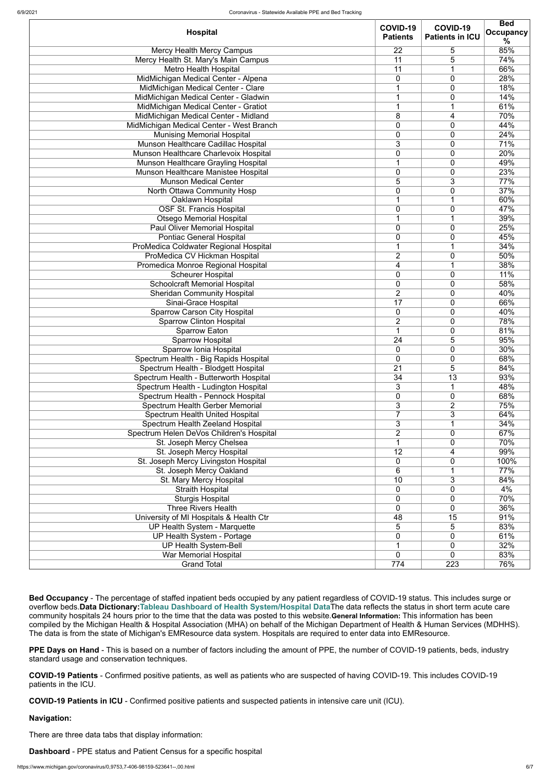|                                          | COVID-19        | COVID-19               | <b>Bed</b>       |
|------------------------------------------|-----------------|------------------------|------------------|
| <b>Hospital</b>                          | <b>Patients</b> | <b>Patients in ICU</b> | <b>Occupancy</b> |
|                                          |                 |                        | %                |
| <b>Mercy Health Mercy Campus</b>         | 22              | 5                      | 85%              |
| Mercy Health St. Mary's Main Campus      | 11              | 5                      | 74%              |
| <b>Metro Health Hospital</b>             | 11              |                        | 66%              |
| MidMichigan Medical Center - Alpena      | 0               | 0                      | 28%              |
| MidMichigan Medical Center - Clare       |                 | 0                      | 18%              |
| MidMichigan Medical Center - Gladwin     |                 | 0                      | 14%              |
| MidMichigan Medical Center - Gratiot     |                 |                        | 61%              |
| MidMichigan Medical Center - Midland     | 8               | 4                      | 70%              |
| MidMichigan Medical Center - West Branch | 0               | 0                      | 44%              |
| <b>Munising Memorial Hospital</b>        | 0               | 0                      | 24%              |
| Munson Healthcare Cadillac Hospital      | 3               | 0                      | 71%              |
| Munson Healthcare Charlevoix Hospital    | $\overline{0}$  | 0                      | 20%              |
| Munson Healthcare Grayling Hospital      |                 | 0                      | 49%              |
| Munson Healthcare Manistee Hospital      | 0               | 0                      | 23%              |
| <b>Munson Medical Center</b>             | 5               | 3                      | 77%              |
| North Ottawa Community Hosp              | 0               | 0                      | 37%              |
| Oaklawn Hospital                         |                 |                        | 60%              |
|                                          |                 |                        |                  |
| <b>OSF St. Francis Hospital</b>          | 0               | 0                      | 47%              |
| <b>Otsego Memorial Hospital</b>          |                 |                        | 39%              |
| <b>Paul Oliver Memorial Hospital</b>     | $\overline{0}$  | 0                      | 25%              |
| <b>Pontiac General Hospital</b>          | 0               | 0                      | 45%              |
| ProMedica Coldwater Regional Hospital    |                 |                        | 34%              |
| ProMedica CV Hickman Hospital            | $\overline{2}$  | 0                      | 50%              |
| Promedica Monroe Regional Hospital       | 4               |                        | 38%              |
| <b>Scheurer Hospital</b>                 | $\overline{0}$  | 0                      | 11%              |
| <b>Schoolcraft Memorial Hospital</b>     | 0               | 0                      | 58%              |
| <b>Sheridan Community Hospital</b>       | $\overline{2}$  | 0                      | 40%              |
| Sinai-Grace Hospital                     | $\overline{17}$ | 0                      | 66%              |
| <b>Sparrow Carson City Hospital</b>      | $\overline{0}$  | 0                      | 40%              |
| <b>Sparrow Clinton Hospital</b>          | $\overline{2}$  | 0                      | 78%              |
| <b>Sparrow Eaton</b>                     |                 | 0                      | 81%              |
| <b>Sparrow Hospital</b>                  | 24              | 5                      | 95%              |
| Sparrow Ionia Hospital                   | $\overline{0}$  | 0                      | 30%              |
| Spectrum Health - Big Rapids Hospital    | 0               | 0                      | 68%              |
| Spectrum Health - Blodgett Hospital      | 21              | 5                      | 84%              |
| Spectrum Health - Butterworth Hospital   | 34              | 13                     | 93%              |
| Spectrum Health - Ludington Hospital     | 3               |                        | 48%              |
| Spectrum Health - Pennock Hospital       | 0               | 0                      | 68%              |
| <b>Spectrum Health Gerber Memorial</b>   | 3               | $\overline{2}$         | 75%              |
|                                          |                 | 3                      |                  |
| <b>Spectrum Health United Hospital</b>   |                 |                        | 64%              |
| Spectrum Health Zeeland Hospital         | 3               | 1                      | 34%              |
| Spectrum Helen DeVos Children's Hospital | $\overline{2}$  | 0                      | 67%              |
| St. Joseph Mercy Chelsea                 |                 | 0                      | 70%              |
| St. Joseph Mercy Hospital                | 12              | 4                      | 99%              |
| St. Joseph Mercy Livingston Hospital     | $\overline{0}$  | 0                      | 100%             |
| St. Joseph Mercy Oakland                 | 6               |                        | 77%              |
| St. Mary Mercy Hospital                  | 10              | 3                      | 84%              |
| <b>Straith Hospital</b>                  | 0               | 0                      | 4%               |
| <b>Sturgis Hospital</b>                  | $\overline{0}$  | 0                      | 70%              |
| <b>Three Rivers Health</b>               | 0               | 0                      | 36%              |
| University of MI Hospitals & Health Ctr  | 48              | 15                     | 91%              |
| UP Health System - Marquette             | 5               | 5                      | 83%              |
| UP Health System - Portage               | 0               | 0                      | 61%              |
| <b>UP Health System-Bell</b>             |                 | 0                      | 32%              |
| <b>War Memorial Hospital</b>             | $\overline{0}$  | 0                      | 83%              |
| <b>Grand Total</b>                       | 774             | 223                    | 76%              |
|                                          |                 |                        |                  |

**Bed Occupancy** - The percentage of staffed inpatient beds occupied by any patient regardless of COVID-19 status. This includes surge or overflow beds.**Data Dictionary:[Tableau Dashboard of Health System/Hospital Data](https://public.tableau.com/profile/mhapublic#!/vizhome/COVIDPublicDashboard/PleaseRead)**The data reflects the status in short term acute care community hospitals 24 hours prior to the time that the data was posted to this website.**General Information:** This information has been compiled by the Michigan Health & Hospital Association (MHA) on behalf of the Michigan Department of Health & Human Services (MDHHS). The data is from the state of Michigan's EMResource data system. Hospitals are required to enter data into EMResource.

**PPE Days on Hand** - This is based on a number of factors including the amount of PPE, the number of COVID-19 patients, beds, industry standard usage and conservation techniques.

**COVID-19 Patients** - Confirmed positive patients, as well as patients who are suspected of having COVID-19. This includes COVID-19 patients in the ICU.

**COVID-19 Patients in ICU** - Confirmed positive patients and suspected patients in intensive care unit (ICU).

**Navigation:**

There are three data tabs that display information:

**Dashboard** - PPE status and Patient Census for a specific hospital